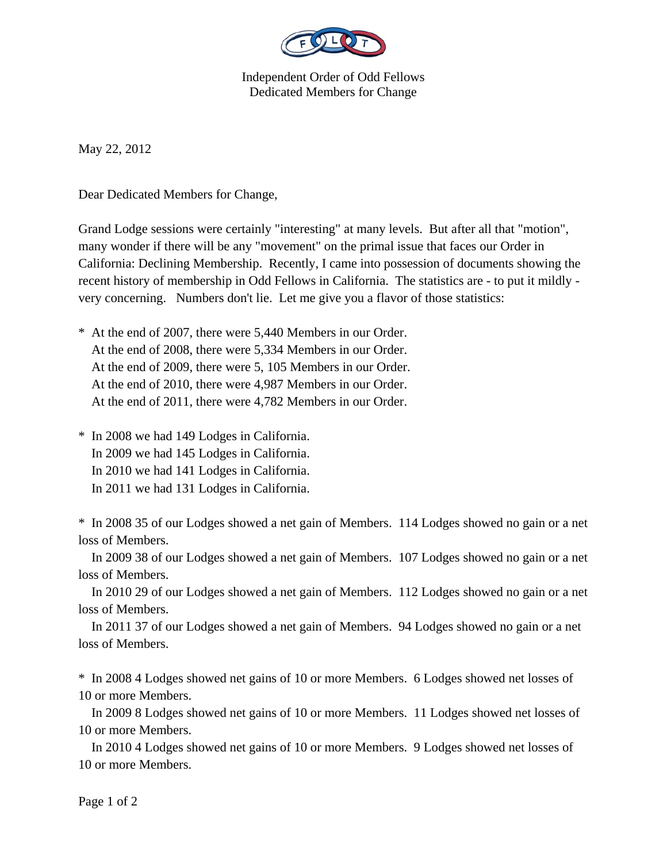

Independent Order of Odd Fellows Dedicated Members for Change

May 22, 2012

Dear Dedicated Members for Change,

Grand Lodge sessions were certainly "interesting" at many levels. But after all that "motion", many wonder if there will be any "movement" on the primal issue that faces our Order in California: Declining Membership. Recently, I came into possession of documents showing the recent history of membership in Odd Fellows in California. The statistics are - to put it mildly very concerning. Numbers don't lie. Let me give you a flavor of those statistics:

\* At the end of 2007, there were 5,440 Members in our Order. At the end of 2008, there were 5,334 Members in our Order. At the end of 2009, there were 5, 105 Members in our Order. At the end of 2010, there were 4,987 Members in our Order. At the end of 2011, there were 4,782 Members in our Order.

\* In 2008 we had 149 Lodges in California. In 2009 we had 145 Lodges in California. In 2010 we had 141 Lodges in California. In 2011 we had 131 Lodges in California.

\* In 2008 35 of our Lodges showed a net gain of Members. 114 Lodges showed no gain or a net loss of Members.

 In 2009 38 of our Lodges showed a net gain of Members. 107 Lodges showed no gain or a net loss of Members.

 In 2010 29 of our Lodges showed a net gain of Members. 112 Lodges showed no gain or a net loss of Members.

 In 2011 37 of our Lodges showed a net gain of Members. 94 Lodges showed no gain or a net loss of Members.

\* In 2008 4 Lodges showed net gains of 10 or more Members. 6 Lodges showed net losses of 10 or more Members.

 In 2009 8 Lodges showed net gains of 10 or more Members. 11 Lodges showed net losses of 10 or more Members.

 In 2010 4 Lodges showed net gains of 10 or more Members. 9 Lodges showed net losses of 10 or more Members.